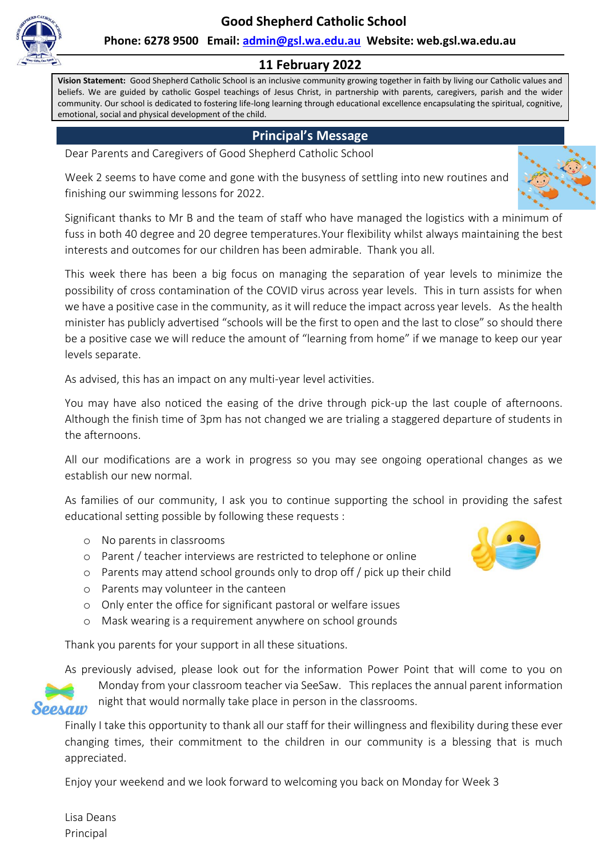**Good Shepherd Catholic School**



**Phone: 6278 9500 Email: [admin@gsl.wa.edu.au](mailto:admin@gsl.wa.edu.au) Website: web.gsl.wa.edu.au**

#### **11 February 2022**

**Vision Statement:** Good Shepherd Catholic School is an inclusive community growing together in faith by living our Catholic values and beliefs. We are guided by catholic Gospel teachings of Jesus Christ, in partnership with parents, caregivers, parish and the wider community. Our school is dedicated to fostering life-long learning through educational excellence encapsulating the spiritual, cognitive, emotional, social and physical development of the child.

#### **Principal's Message**

Dear Parents and Caregivers of Good Shepherd Catholic School

Week 2 seems to have come and gone with the busyness of settling into new routines and finishing our swimming lessons for 2022.



Significant thanks to Mr B and the team of staff who have managed the logistics with a minimum of fuss in both 40 degree and 20 degree temperatures.Your flexibility whilst always maintaining the best interests and outcomes for our children has been admirable. Thank you all.

This week there has been a big focus on managing the separation of year levels to minimize the possibility of cross contamination of the COVID virus across year levels. This in turn assists for when we have a positive case in the community, as it will reduce the impact across year levels. As the health minister has publicly advertised "schools will be the first to open and the last to close" so should there be a positive case we will reduce the amount of "learning from home" if we manage to keep our year levels separate.

As advised, this has an impact on any multi-year level activities.

You may have also noticed the easing of the drive through pick-up the last couple of afternoons. Although the finish time of 3pm has not changed we are trialing a staggered departure of students in the afternoons.

All our modifications are a work in progress so you may see ongoing operational changes as we establish our new normal.

As families of our community, I ask you to continue supporting the school in providing the safest educational setting possible by following these requests :

- o No parents in classrooms
- o Parent / teacher interviews are restricted to telephone or online
- o Parents may attend school grounds only to drop off / pick up their child
- o Parents may volunteer in the canteen
- o Only enter the office for significant pastoral or welfare issues
- o Mask wearing is a requirement anywhere on school grounds

Thank you parents for your support in all these situations.

As previously advised, please look out for the information Power Point that will come to you on



Monday from your classroom teacher via SeeSaw. This replaces the annual parent information night that would normally take place in person in the classrooms.

Finally I take this opportunity to thank all our staff for their willingness and flexibility during these ever changing times, their commitment to the children in our community is a blessing that is much appreciated.

Enjoy your weekend and we look forward to welcoming you back on Monday for Week 3

Lisa Deans Principal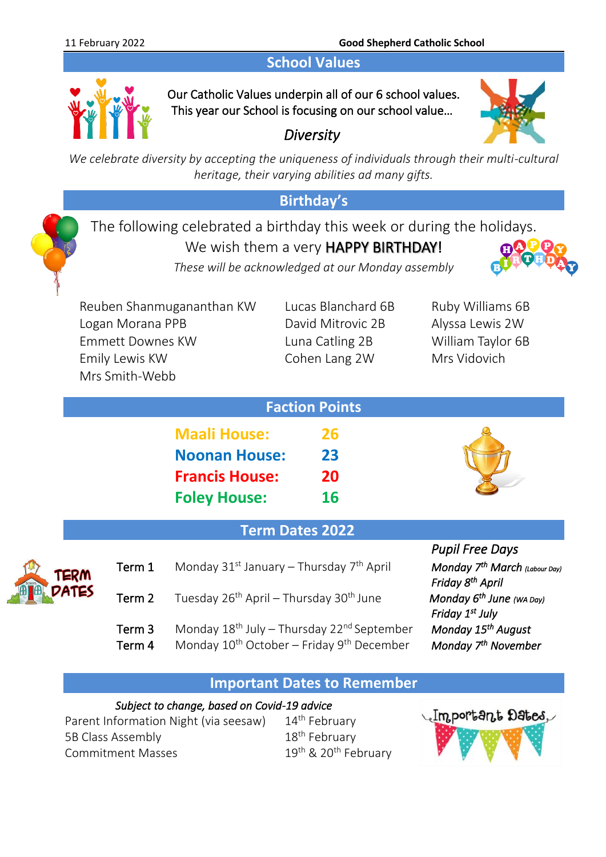### **School Values**



Our Catholic Values underpin all of our 6 school values. This year our School is focusing on our school value…

*Diversity* 



*We celebrate diversity by accepting the uniqueness of individuals through their multi-cultural heritage, their varying abilities ad many gifts.*

### **Birthday's**

The following celebrated a birthday this week or during the holidays.

We wish them a very HAPPY BIRTHDAY!



*These will be acknowledged at our Monday assembly*

Reuben Shanmugananthan KW Lucas Blanchard 6B Ruby Williams 6B Logan Morana PPB David Mitrovic 2B Alyssa Lewis 2W Emmett Downes KW Luna Catling 2B William Taylor 6B Emily Lewis KW Cohen Lang 2W Mrs Vidovich Mrs Smith-Webb

|                       | <b>Faction Points</b> |  |
|-----------------------|-----------------------|--|
| <b>Maali House:</b>   | 26                    |  |
| <b>Noonan House:</b>  | 23                    |  |
| <b>Francis House:</b> | 20                    |  |
| <b>Foley House:</b>   | 16                    |  |
|                       |                       |  |

### **Term Dates 2022**



| ERM  | Term 1 | Monday $31^{st}$ January – Thursday $7^{th}$ April              | Monday 7 <sup>th</sup> March (Labour<br>Friday 8 <sup>th</sup> April |
|------|--------|-----------------------------------------------------------------|----------------------------------------------------------------------|
| 9TES | Term 2 | Tuesday 26 <sup>th</sup> April – Thursday 30 <sup>th</sup> June | Monday 6 <sup>th</sup> June (wa Day)<br>Friday 1 <sup>st</sup> July  |
|      |        |                                                                 |                                                                      |

- Term 3 Monday 18<sup>th</sup> July Thursday 22<sup>nd</sup> September Monday 15
- Term 4 Monday 10<sup>th</sup> October Friday 9<sup>th</sup> December Monday 7

 *Pupil Free Days*  th April *Monday 7th March (Labour Day) Friday* 8<sup>th</sup> April *th August th November*

#### **Important Dates to Remember**

#### *Subject to change, based on Covid-19 advice*

Parent Information Night (via seesaw) 14<sup>th</sup> February 5B Class Assembly 18<sup>th</sup> February Commitment Masses

19<sup>th</sup> & 20<sup>th</sup> February

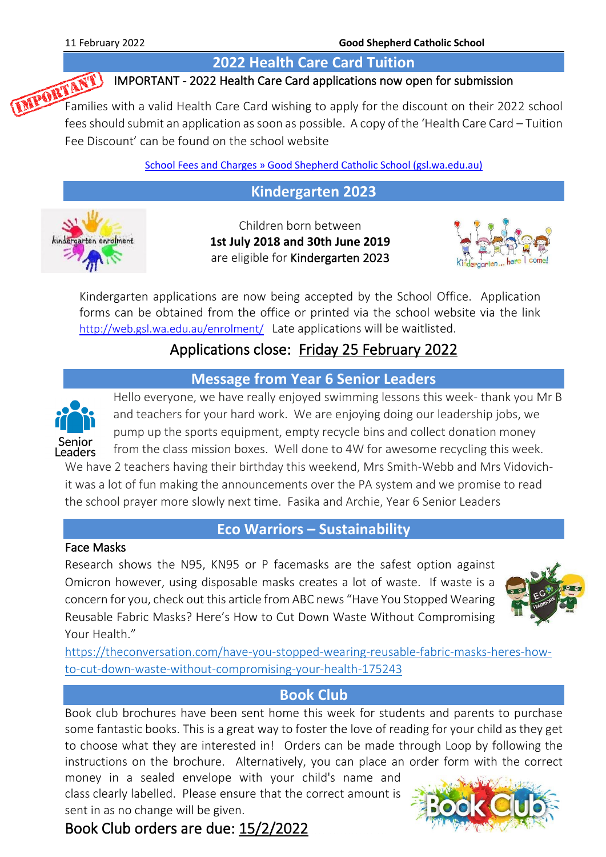#### **2022 Health Care Card Tuition**

#### IMPORTANT - 2022 Health Care Card applications now open for submission

Families with a valid Health Care Card wishing to applications now open for submission Families with a valid Health Care Card wishing to apply for the discount on their 2022 school fees should submit an application as soon as possible. A copy of the 'Health Care Card – Tuition Fee Discount' can be found on the school website

[School Fees and Charges » Good Shepherd Catholic School \(gsl.wa.edu.au\)](http://web.gsl.wa.edu.au/our-families/school-fees-and-charges/)

#### **Kindergarten 2023**



Children born between **1st July 2018 and 30th June 2019** are eligible for Kindergarten 2023



Kindergarten applications are now being accepted by the School Office. Application forms can be obtained from the office or printed via the school website via the link <http://web.gsl.wa.edu.au/enrolment/> Late applications will be waitlisted.

## Applications close: Friday 25 February 2022

#### **Message from Year 6 Senior Leaders**



Hello everyone, we have really enjoyed swimming lessons this week- thank you Mr B and teachers for your hard work. We are enjoying doing our leadership jobs, we pump up the sports equipment, empty recycle bins and collect donation money from the class mission boxes. Well done to 4W for awesome recycling this week.

We have 2 teachers having their birthday this weekend, Mrs Smith-Webb and Mrs Vidovichit was a lot of fun making the announcements over the PA system and we promise to read the school prayer more slowly next time. Fasika and Archie, Year 6 Senior Leaders

#### **Eco Warriors – Sustainability**

#### Face Masks

Research shows the N95, KN95 or P facemasks are the safest option against Omicron however, using disposable masks creates a lot of waste. If waste is a concern for you, check out this article from ABC news "Have You Stopped Wearing Reusable Fabric Masks? Here's How to Cut Down Waste Without Compromising Your Health."



[https://theconversation.com/have-you-stopped-wearing-reusable-fabric-masks-heres-how](https://theconversation.com/have-you-stopped-wearing-reusable-fabric-masks-heres-how-to-cut-down-waste-without-compromising-your-health-175243)[to-cut-down-waste-without-compromising-your-health-175243](https://theconversation.com/have-you-stopped-wearing-reusable-fabric-masks-heres-how-to-cut-down-waste-without-compromising-your-health-175243)

#### **Book Club**

Book club brochures have been sent home this week for students and parents to purchase some fantastic books. This is a great way to foster the love of reading for your child as they get to choose what they are interested in! Orders can be made through Loop by following the instructions on the brochure. Alternatively, you can place an order form with the correct

money in a sealed envelope with your child's name and class clearly labelled. Please ensure that the correct amount is sent in as no change will be given.



# Book Club orders are due: 15/2/2022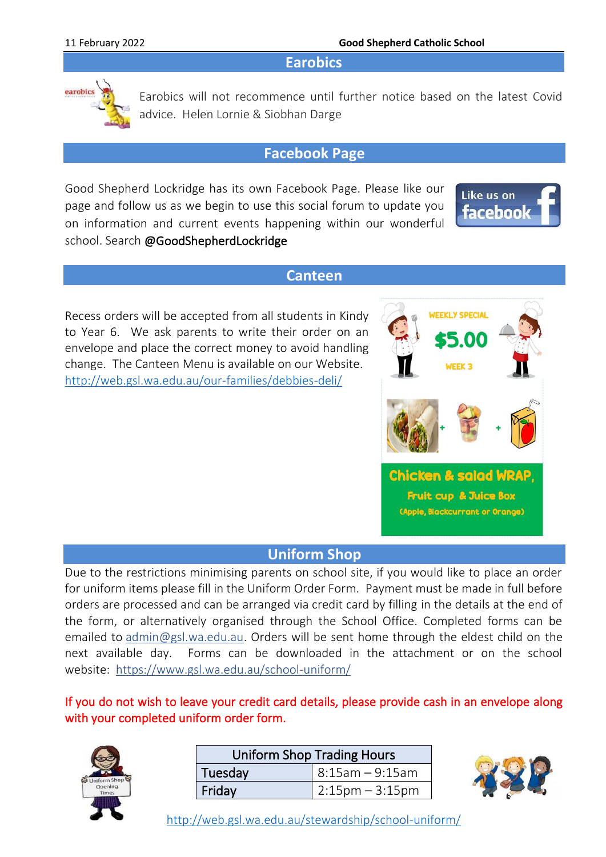**Earobics**



Earobics will not recommence until further notice based on the latest Covid advice. Helen Lornie & Siobhan Darge

#### **Facebook Page**

Good Shepherd Lockridge has its own Facebook Page. Please like our page and follow us as we begin to use this social forum to update you on information and current events happening within our wonderful school. Search @GoodShepherdLockridge



#### **Canteen**

Recess orders will be accepted from all students in Kindy to Year 6. We ask parents to write their order on an envelope and place the correct money to avoid handling change. The Canteen Menu is available on our Website. <http://web.gsl.wa.edu.au/our-families/debbies-deli/>



#### **Uniform Shop**

Due to the restrictions minimising parents on school site, if you would like to place an order for uniform items please fill in the Uniform Order Form. Payment must be made in full before orders are processed and can be arranged via credit card by filling in the details at the end of the form, or alternatively organised through the School Office. Completed forms can be emailed to [admin@gsl.wa.edu.au.](mailto:admin@gsl.wa.edu.au) Orders will be sent home through the eldest child on the next available day. Forms can be downloaded in the attachment or on the school website: <https://www.gsl.wa.edu.au/school-uniform/>

#### If you do not wish to leave your credit card details, please provide cash in an envelope along with your completed uniform order form.



| <b>Uniform Shop Trading Hours</b> |                      |  |  |
|-----------------------------------|----------------------|--|--|
| Tuesday                           | $  8:15$ am - 9:15am |  |  |
| Friday                            | $ 2:15$ pm – 3:15pm  |  |  |



<http://web.gsl.wa.edu.au/stewardship/school-uniform/>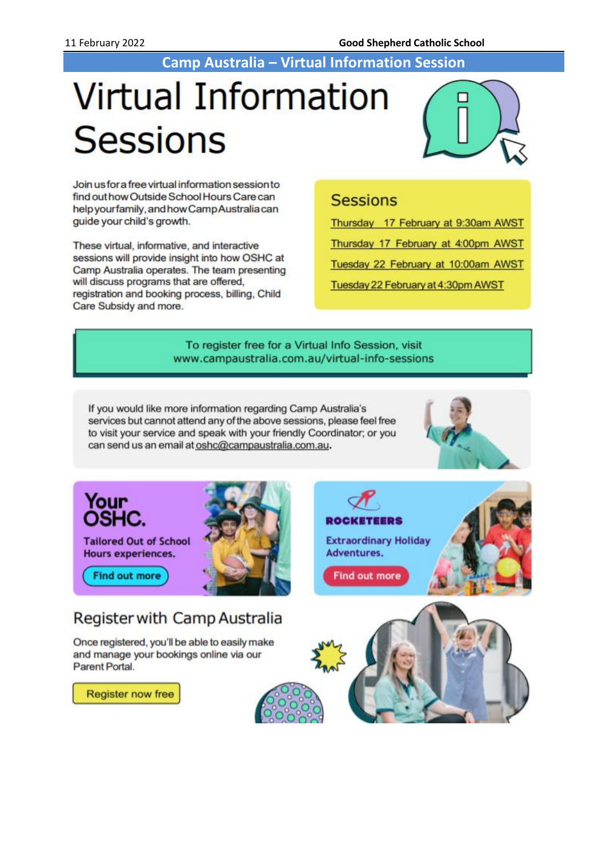**Camp Australia – Virtual Information Session**

# **Virtual Information Sessions**



Join us for a free virtual information session to find out how Outside School Hours Care can help yourfamily, and how Camp Australia can quide your child's growth.

These virtual, informative, and interactive sessions will provide insight into how OSHC at Camp Australia operates. The team presenting will discuss programs that are offered, registration and booking process, billing, Child Care Subsidy and more.

#### **Sessions**

Thursday 17 February at 9:30am AWST

Thursday 17 February at 4:00pm AWST

Tuesday 22 February at 10:00am AWST

Tuesday 22 February at 4:30pm AWST

#### To register free for a Virtual Info Session, visit www.campaustralia.com.au/virtual-info-sessions

If you would like more information regarding Camp Australia's services but cannot attend any of the above sessions, please feel free to visit your service and speak with your friendly Coordinator; or you can send us an email at oshc@campaustralia.com.au.



Your<br>OSHC.

**Tailored Out of School** Hours experiences.

**Find out more** 

# **Register with Camp Australia**

Once registered, you'll be able to easily make and manage your bookings online via our Parent Portal.

**Register now free** 



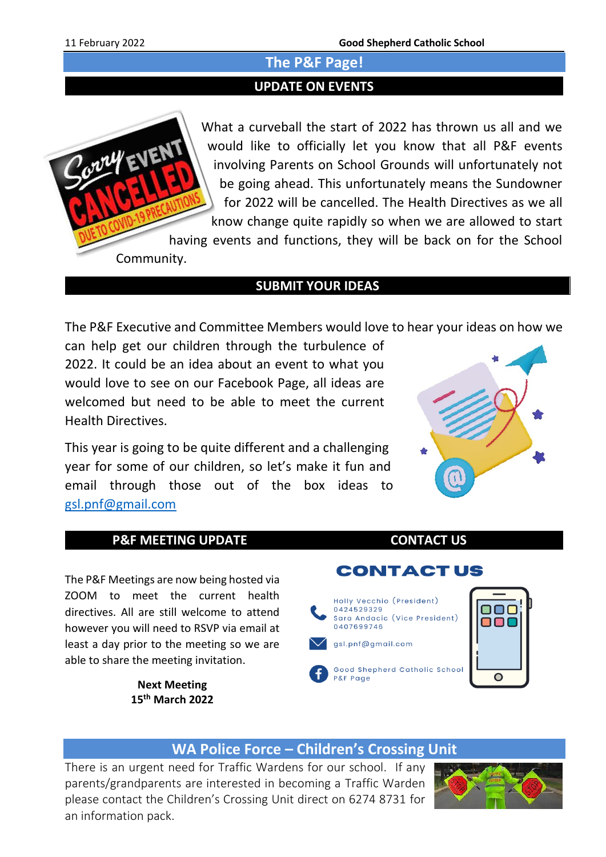#### **The P&F Page!**

#### **UPDATE ON EVENTS**



What a curveball the start of 2022 has thrown us all and we would like to officially let you know that all P&F events involving Parents on School Grounds will unfortunately not be going ahead. This unfortunately means the Sundowner for 2022 will be cancelled. The Health Directives as we all know change quite rapidly so when we are allowed to start

having events and functions, they will be back on for the School

#### **SUBMIT YOUR IDEAS**

The P&F Executive and Committee Members would love to hear your ideas on how we

can help get our children through the turbulence of 2022. It could be an idea about an event to what you would love to see on our Facebook Page, all ideas are welcomed but need to be able to meet the current Health Directives.

This year is going to be quite different and a challenging year for some of our children, so let's make it fun and email through those out of the box ideas to [gsl.pnf@gmail.com](mailto:gsl.pnf@gmail.com)



#### **P&F MEETING UPDATE CONTACT US**

The P&F Meetings are now being hosted via ZOOM to meet the current health directives. All are still welcome to attend however you will need to RSVP via email at least a day prior to the meeting so we are able to share the meeting invitation.

> **Next Meeting 15th March 2022**



Holly Vecchio (President) 0424529329 oor Sara Andacic (Vice President) 000 0407699746 gsl.pnf@gmail.com Good Shepherd Catholic School  $\bigcap$ P&F Page



#### **WA Police Force – Children's Crossing Unit**

There is an urgent need for Traffic Wardens for our school. If any parents/grandparents are interested in becoming a Traffic Warden please contact the Children's Crossing Unit direct on 6274 8731 for an information pack.